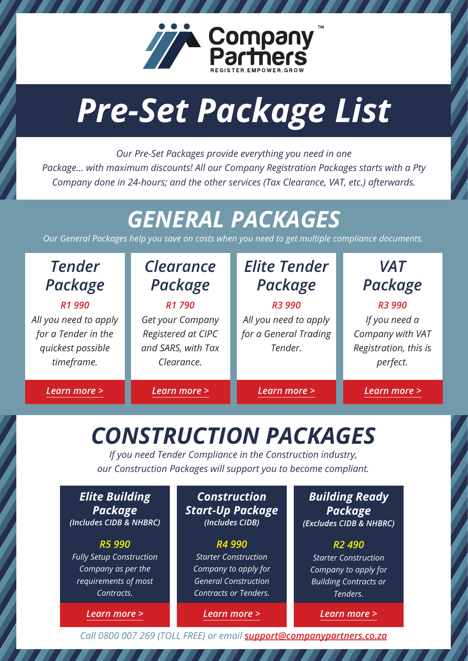

# *Pre-Set Package List*

*Our Pre-Set Packages provide everything you need in one Package… with maximum discounts! All our Company Registration Packages starts with a Pty Company done in 24-hours; and the other services (Tax Clearance, VAT, etc.) afterwards.*

# *GENERAL PACKAGES*

*Our General Packages help you save on costs when you need to get multiple compliance documents.*

| <b>Tender</b><br>Package | <b>Clearance</b><br>Package | <b>Elite Tender</b><br>Package | <b>VAT</b><br>Package |
|--------------------------|-----------------------------|--------------------------------|-----------------------|
| R1 990                   | R1 790                      | R <sub>3</sub> 990             | R <sub>3</sub> 990    |
| All you need to apply    | Get your Company            | All you need to apply          | If you need a         |
| for a Tender in the      | Registered at CIPC          | for a General Trading          | Company with VAT      |
| quickest possible        | and SARS, with Tax          | Tender.                        | Registration, this is |
| timeframe.               | Clearance.                  |                                | perfect.              |
|                          |                             |                                |                       |
| Learn more >             | Learn more >                | Learn more >                   | Learn more >          |

# *CONSTRUCTION PACKAGES*

*If you need Tender Compliance in the Construction industry, our Construction Packages will support you to become compliant.*

| <b>Elite Building</b><br><b>Package</b><br>(Includes CIDB & NHBRC) | <b>Construction</b><br><b>Start-Up Package</b><br>(Includes CIDB) | <b>Building Ready</b><br><b>Package</b><br>(Excludes CIDB & NHBRC |
|--------------------------------------------------------------------|-------------------------------------------------------------------|-------------------------------------------------------------------|
| R5 990                                                             | R4 990                                                            | R <sub>2</sub> 490                                                |
| <b>Fully Setup Construction</b>                                    | <b>Starter Construction</b>                                       | <b>Starter Construction</b>                                       |
| Company as per the                                                 | Company to apply for                                              | Company to apply for                                              |
| requirements of most                                               | General Construction                                              | <b>Building Contracts or</b>                                      |
| Contracts.                                                         | Contracts or Tenders.                                             | Tenders.                                                          |
| Learn more >                                                       | Learn more >                                                      | Learn more >                                                      |

*Call 0800 007 269 (TOLL FREE) or email [support@companypartners.co.za](mailto:support@companypartners.co.za)*